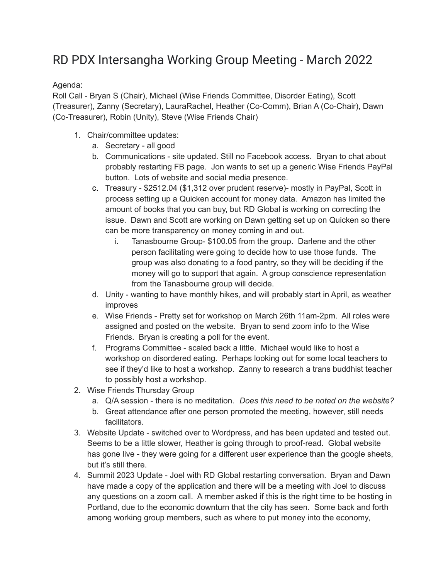## RD PDX Intersangha Working Group Meeting - March 2022

## Agenda:

Roll Call - Bryan S (Chair), Michael (Wise Friends Committee, Disorder Eating), Scott (Treasurer), Zanny (Secretary), LauraRachel, Heather (Co-Comm), Brian A (Co-Chair), Dawn (Co-Treasurer), Robin (Unity), Steve (Wise Friends Chair)

- 1. Chair/committee updates:
	- a. Secretary all good
	- b. Communications site updated. Still no Facebook access. Bryan to chat about probably restarting FB page. Jon wants to set up a generic Wise Friends PayPal button. Lots of website and social media presence.
	- c. Treasury \$2512.04 (\$1,312 over prudent reserve)- mostly in PayPal, Scott in process setting up a Quicken account for money data. Amazon has limited the amount of books that you can buy, but RD Global is working on correcting the issue. Dawn and Scott are working on Dawn getting set up on Quicken so there can be more transparency on money coming in and out.
		- i. Tanasbourne Group- \$100.05 from the group. Darlene and the other person facilitating were going to decide how to use those funds. The group was also donating to a food pantry, so they will be deciding if the money will go to support that again. A group conscience representation from the Tanasbourne group will decide.
	- d. Unity wanting to have monthly hikes, and will probably start in April, as weather improves
	- e. Wise Friends Pretty set for workshop on March 26th 11am-2pm. All roles were assigned and posted on the website. Bryan to send zoom info to the Wise Friends. Bryan is creating a poll for the event.
	- f. Programs Committee scaled back a little. Michael would like to host a workshop on disordered eating. Perhaps looking out for some local teachers to see if they'd like to host a workshop. Zanny to research a trans buddhist teacher to possibly host a workshop.
- 2. Wise Friends Thursday Group
	- a. Q/A session there is no meditation. *Does this need to be noted on the website?*
	- b. Great attendance after one person promoted the meeting, however, still needs facilitators.
- 3. Website Update switched over to Wordpress, and has been updated and tested out. Seems to be a little slower, Heather is going through to proof-read. Global website has gone live - they were going for a different user experience than the google sheets, but it's still there.
- 4. Summit 2023 Update Joel with RD Global restarting conversation. Bryan and Dawn have made a copy of the application and there will be a meeting with Joel to discuss any questions on a zoom call. A member asked if this is the right time to be hosting in Portland, due to the economic downturn that the city has seen. Some back and forth among working group members, such as where to put money into the economy,